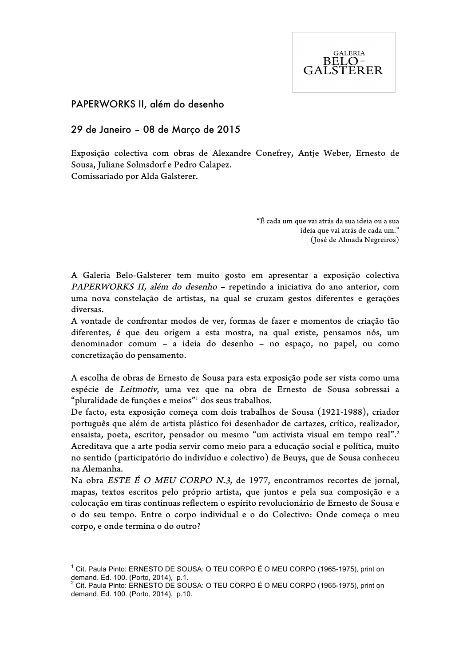

## PAPERWORKS II, além do desenho

## 29 de Janeiro – 08 de Março de 2015

Exposição colectiva com obras de Alexandre Conefrey, Antje Weber, Ernesto de Sousa, Juliane Solmsdorf e Pedro Calapez. Comissariado por Alda Galsterer.

> "É cada um que vai atrás da sua ideia ou a sua ideia que vai atrás de cada um." (José de Almada Negreiros)

A Galeria Belo-Galsterer tem muito gosto em apresentar a exposição colectiva PAPERWORKS II, além do desenho – repetindo a iniciativa do ano anterior, com uma nova constelação de artistas, na qual se cruzam gestos diferentes e gerações diversas.

A vontade de confrontar modos de ver, formas de fazer e momentos de criação tão diferentes, é que deu origem a esta mostra, na qual existe, pensamos nós, um denominador comum – a ideia do desenho – no espaço, no papel, ou como concretização do pensamento.

A escolha de obras de Ernesto de Sousa para esta exposição pode ser vista como uma espécie de Leitmotiv, uma vez que na obra de Ernesto de Sousa sobressai a "pluralidade de funções e meios"1 dos seus trabalhos.

De facto, esta exposição começa com dois trabalhos de Sousa (1921-1988), criador português que além de artista plástico foi desenhador de cartazes, crítico, realizador, ensaista, poeta, escritor, pensador ou mesmo "um activista visual em tempo real".2 Acreditava que a arte podia servir como meio para a educação social e política, muito no sentido (participatório do indivíduo e colectivo) de Beuys, que de Sousa conheceu na Alemanha.

Na obra *ESTE É O MEU CORPO N.3*, de 1977, encontramos recortes de jornal, mapas, textos escritos pelo próprio artista, que juntos e pela sua composição e a colocação em tiras contínuas reflectem o espírito revolucionário de Ernesto de Sousa e o do seu tempo. Entre o corpo individual e o do Colectivo: Onde começa o meu corpo, e onde termina o do outro?

 $1$  Cit. Paula Pinto: ERNESTO DE SOUSA: O TEU CORPO É O MEU CORPO (1965-1975), print on demand. Ed. 100. (Porto, 2014), p.1.<br>
<sup>2</sup> Cit. Paula Pinto: ERNESTO DE SOUSA: O TEU CORPO É O MEU CORPO (1965-1975), print on

demand. Ed. 100. (Porto, 2014), p.10.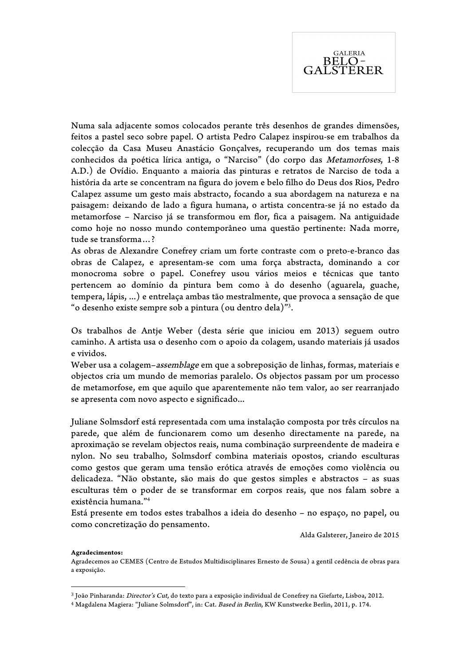

Numa sala adjacente somos colocados perante três desenhos de grandes dimensões, feitos a pastel seco sobre papel. O artista Pedro Calapez inspirou-se em trabalhos da colecção da Casa Museu Anastácio Gonçalves, recuperando um dos temas mais conhecidos da poética lírica antiga, o "Narciso" (do corpo das Metamorfoses, 1-8 A.D.) de Ovídio. Enquanto a maioria das pinturas e retratos de Narciso de toda a história da arte se concentram na figura do jovem e belo filho do Deus dos Rios, Pedro Calapez assume um gesto mais abstracto, focando a sua abordagem na natureza e na paisagem: deixando de lado a figura humana, o artista concentra-se já no estado da metamorfose – Narciso já se transformou em flor, fica a paisagem. Na antiguidade como hoje no nosso mundo contemporâneo uma questão pertinente: Nada morre, tude se transforma…?

As obras de Alexandre Conefrey criam um forte contraste com o preto-e-branco das obras de Calapez, e apresentam-se com uma força abstracta, dominando a cor monocroma sobre o papel. Conefrey usou vários meios e técnicas que tanto pertencem ao domínio da pintura bem como à do desenho (aguarela, guache, tempera, lápis, ...) e entrelaça ambas tão mestralmente, que provoca a sensação de que "o desenho existe sempre sob a pintura (ou dentro dela)"3 .

Os trabalhos de Antje Weber (desta série que iniciou em 2013) seguem outro caminho. A artista usa o desenho com o apoio da colagem, usando materiais já usados e vividos.

Weber usa a colagem–assemblage em que a sobreposição de linhas, formas, materiais e objectos cria um mundo de memorias paralelo. Os objectos passam por um processo de metamorfose, em que aquilo que aparentemente não tem valor, ao ser rearranjado se apresenta com novo aspecto e significado...

Juliane Solmsdorf está representada com uma instalação composta por três círculos na parede, que além de funcionarem como um desenho directamente na parede, na aproximação se revelam objectos reais, numa combinação surpreendente de madeira e nylon. No seu trabalho, Solmsdorf combina materiais opostos, criando esculturas como gestos que geram uma tensão erótica através de emoções como violência ou delicadeza. "Não obstante, são mais do que gestos simples e abstractos – as suas esculturas têm o poder de se transformar em corpos reais, que nos falam sobre a existência humana."4

Está presente em todos estes trabalhos a ideia do desenho – no espaço, no papel, ou como concretização do pensamento.

Alda Galsterer, Janeiro de 2015

## **Agradecimentos:**

 

Agradecemos ao CEMES (Centro de Estudos Multidisciplinares Ernesto de Sousa) a gentil cedência de obras para a exposição.

<sup>3</sup> João Pinharanda: Director's Cut, do texto para a exposição individual de Conefrey na Giefarte, Lisboa, 2012.

<sup>4</sup> Magdalena Magiera: "Juliane Solmsdorf", in: Cat. Based in Berlin, KW Kunstwerke Berlin, 2011, p. 174.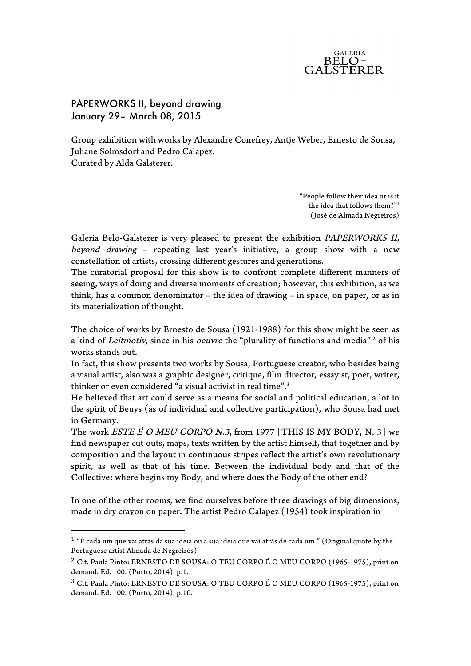

PAPERWORKS II, beyond drawing January 29– March 08, 2015

 

Group exhibition with works by Alexandre Conefrey, Antje Weber, Ernesto de Sousa, Juliane Solmsdorf and Pedro Calapez. Curated by Alda Galsterer.

> "People follow their idea or is it the idea that follows them?"<sup>1</sup> (José de Almada Negreiros)

Galeria Belo-Galsterer is very pleased to present the exhibition PAPERWORKS II, beyond drawing – repeating last year's initiative, a group show with a new constellation of artists, crossing different gestures and generations.

The curatorial proposal for this show is to confront complete different manners of seeing, ways of doing and diverse moments of creation; however, this exhibition, as we think, has a common denominator – the idea of drawing – in space, on paper, or as in its materialization of thought.

The choice of works by Ernesto de Sousa (1921-1988) for this show might be seen as a kind of Leitmotiv, since in his oeuvre the "plurality of functions and media"<sup>2</sup> of his works stands out.

In fact, this show presents two works by Sousa, Portuguese creator, who besides being a visual artist, also was a graphic designer, critique, film director, essayist, poet, writer, thinker or even considered "a visual activist in real time".<sup>3</sup>

He believed that art could serve as a means for social and political education, a lot in the spirit of Beuys (as of individual and collective participation), who Sousa had met in Germany.

The work *ESTE É O MEU CORPO N.3*, from 1977 [THIS IS MY BODY, N. 3] we find newspaper cut outs, maps, texts written by the artist himself, that together and by composition and the layout in continuous stripes reflect the artist's own revolutionary spirit, as well as that of his time. Between the individual body and that of the Collective: where begins my Body, and where does the Body of the other end?

In one of the other rooms, we find ourselves before three drawings of big dimensions, made in dry crayon on paper. The artist Pedro Calapez (1954) took inspiration in

 $1$  "É cada um que vai atrás da sua ideia ou a sua ideia que vai atrás de cada um." (Original quote by the Portuguese artist Almada de Negreiros)

<sup>2</sup> Cit. Paula Pinto: ERNESTO DE SOUSA: O TEU CORPO É O MEU CORPO (1965-1975), print on demand. Ed. 100. (Porto, 2014), p.1.

<sup>3</sup> Cit. Paula Pinto: ERNESTO DE SOUSA: O TEU CORPO É O MEU CORPO (1965-1975), print on demand. Ed. 100. (Porto, 2014), p.10.